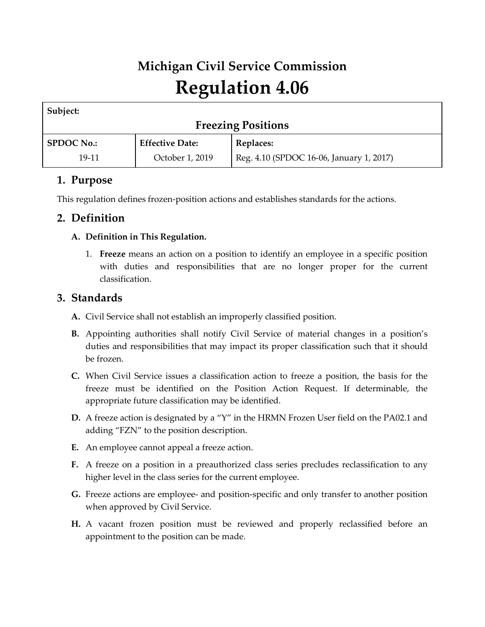# **Michigan Civil Service Commission Regulation 4.06**

| Subject:                  |                        |                                          |  |
|---------------------------|------------------------|------------------------------------------|--|
| <b>Freezing Positions</b> |                        |                                          |  |
| <b>SPDOC No.:</b>         | <b>Effective Date:</b> | Replaces:                                |  |
| 19-11                     | October 1, 2019        | Reg. 4.10 (SPDOC 16-06, January 1, 2017) |  |

## **1. Purpose**

This regulation defines frozen-position actions and establishes standards for the actions.

## **2. Definition**

#### **A. Definition in This Regulation.**

1. **Freeze** means an action on a position to identify an employee in a specific position with duties and responsibilities that are no longer proper for the current classification.

## **3. Standards**

- **A.** Civil Service shall not establish an improperly classified position.
- **B.** Appointing authorities shall notify Civil Service of material changes in a position's duties and responsibilities that may impact its proper classification such that it should be frozen.
- **C.** When Civil Service issues a classification action to freeze a position, the basis for the freeze must be identified on the Position Action Request. If determinable, the appropriate future classification may be identified.
- **D.** A freeze action is designated by a "Y" in the HRMN Frozen User field on the PA02.1 and adding "FZN" to the position description.
- **E.** An employee cannot appeal a freeze action.
- **F.** A freeze on a position in a preauthorized class series precludes reclassification to any higher level in the class series for the current employee.
- **G.** Freeze actions are employee- and position-specific and only transfer to another position when approved by Civil Service.
- **H.** A vacant frozen position must be reviewed and properly reclassified before an appointment to the position can be made.